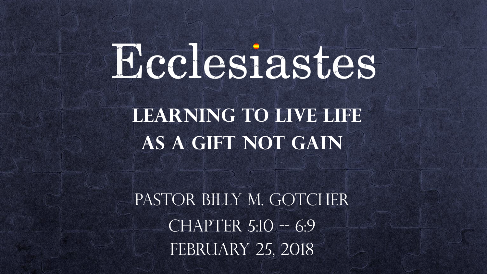# Ecclesiastes

**LEARNING TO LIVE LIFE as a Gift not gain**

PASTOR BILLY M. GOTCHER  $CHAPTER 5:10 - 6:9$ FEBRUARY 25, 2018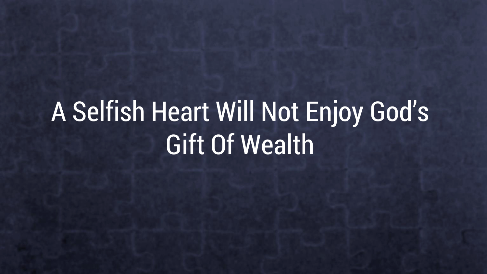# A Selfish Heart Will Not Enjoy God's Gift Of Wealth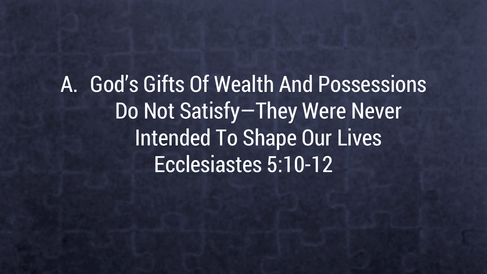A. God's Gifts Of Wealth And Possessions Do Not Satisfy—They Were Never Intended To Shape Our Lives Ecclesiastes 5:10-12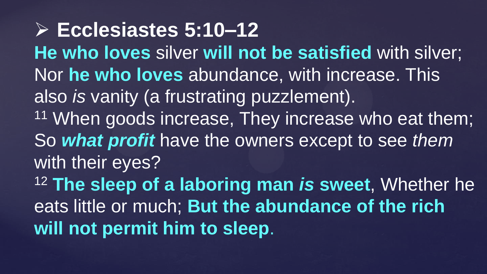**Ecclesiastes 5:10–12 He who loves** silver **will not be satisfied** with silver; Nor **he who loves** abundance, with increase. This also *is* vanity (a frustrating puzzlement). <sup>11</sup> When goods increase, They increase who eat them; So *what profit* have the owners except to see *them* with their eyes? <sup>12</sup> **The sleep of a laboring man** *is* **sweet**, Whether he eats little or much; **But the abundance of the rich will not permit him to sleep**.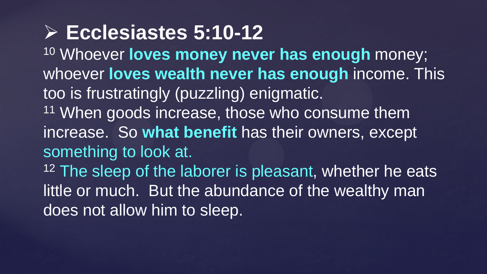**Ecclesiastes 5:10-12** <sup>10</sup> Whoever **loves money never has enough** money; whoever **loves wealth never has enough** income. This too is frustratingly (puzzling) enigmatic. <sup>11</sup> When goods increase, those who consume them increase. So **what benefit** has their owners, except something to look at. <sup>12</sup> The sleep of the laborer is pleasant, whether he eats little or much. But the abundance of the wealthy man does not allow him to sleep.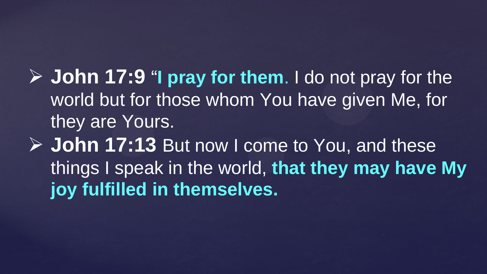**John 17:9** "**I pray for them**. I do not pray for the world but for those whom You have given Me, for they are Yours.

 **John 17:13** But now I come to You, and these things I speak in the world, **that they may have My joy fulfilled in themselves.**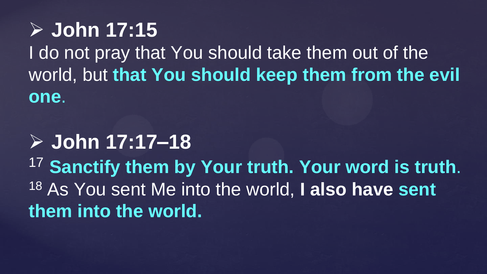**John 17:15**  I do not pray that You should take them out of the world, but **that You should keep them from the evil one**.

#### **John 17:17–18**

<sup>17</sup> **Sanctify them by Your truth. Your word is truth**. <sup>18</sup> As You sent Me into the world, **I also have sent them into the world.**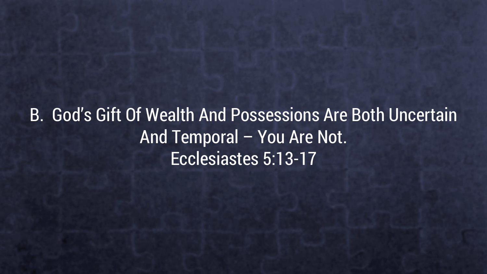B. God's Gift Of Wealth And Possessions Are Both Uncertain And Temporal – You Are Not. Ecclesiastes 5:13-17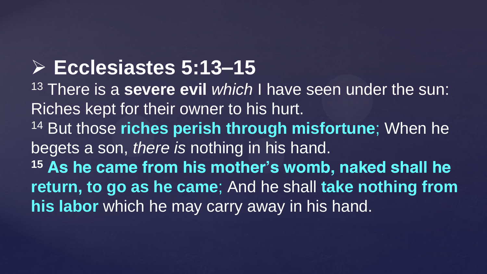# **Ecclesiastes 5:13–15**

<sup>13</sup> There is a **severe evil** *which* I have seen under the sun: Riches kept for their owner to his hurt. <sup>14</sup> But those **riches perish through misfortune**; When he begets a son, *there is* nothing in his hand. **<sup>15</sup> As he came from his mother's womb, naked shall he return, to go as he came**; And he shall **take nothing from his labor** which he may carry away in his hand.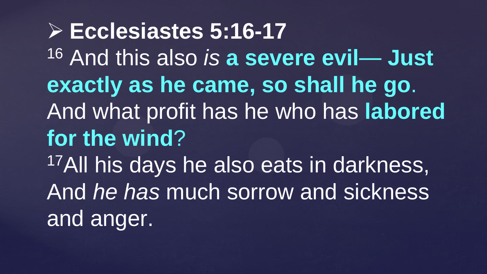**Ecclesiastes 5:16-17**  <sup>16</sup> And this also *is* **a severe evil**— **Just exactly as he came, so shall he go**. And what profit has he who has **labored for the wind**? <sup>17</sup>All his days he also eats in darkness, And *he has* much sorrow and sickness and anger.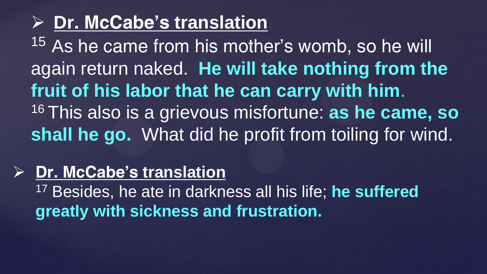#### **Dr. McCabe's translation**

<sup>15</sup> As he came from his mother's womb, so he will again return naked. **He will take nothing from the fruit of his labor that he can carry with him**. <sup>16</sup>This also is a grievous misfortune: **as he came, so shall he go.** What did he profit from toiling for wind.

#### **Dr. McCabe's translation**

<sup>17</sup> Besides, he ate in darkness all his life; **he suffered greatly with sickness and frustration.**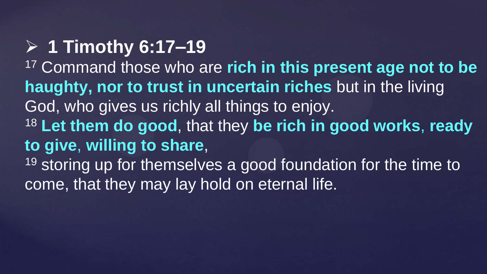# **1 Timothy 6:17–19**

<sup>17</sup> Command those who are **rich in this present age not to be haughty, nor to trust in uncertain riches** but in the living God, who gives us richly all things to enjoy. <sup>18</sup> **Let them do good**, that they **be rich in good works**, **ready to give**, **willing to share**, 19 storing up for themselves a good foundation for the time to come, that they may lay hold on eternal life.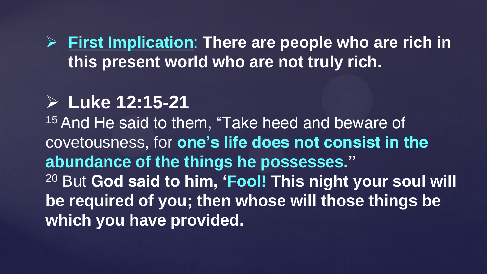**First Implication**: **There are people who are rich in this present world who are not truly rich.** 

#### **Luke 12:15-21**

<sup>15</sup> And He said to them, "Take heed and beware of covetousness, for **one's life does not consist in the abundance of the things he possesses."**  <sup>20</sup> But **God said to him, 'Fool! This night your soul will be required of you; then whose will those things be which you have provided.**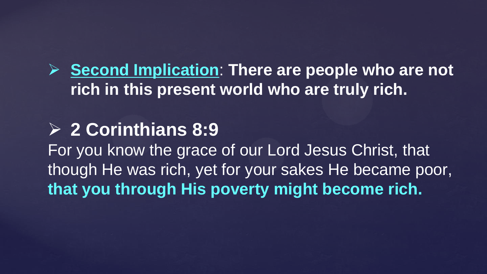**Second Implication**: **There are people who are not rich in this present world who are truly rich.** 

#### **2 Corinthians 8:9**

For you know the grace of our Lord Jesus Christ, that though He was rich, yet for your sakes He became poor, **that you through His poverty might become rich.**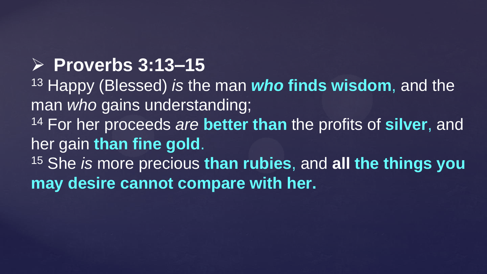# **Proverbs 3:13–15**

<sup>13</sup> Happy (Blessed) *is* the man *who* **finds wisdom**, and the man *who* gains understanding; <sup>14</sup> For her proceeds *are* **better than** the profits of **silver**, and her gain **than fine gold**. <sup>15</sup> She *is* more precious **than rubies**, and **all the things you may desire cannot compare with her.**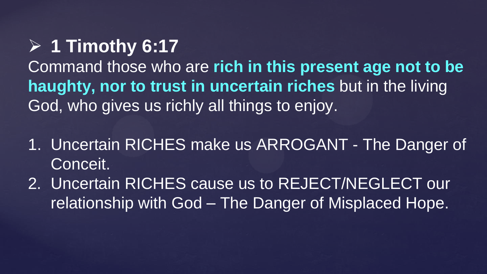# **1 Timothy 6:17**

Command those who are **rich in this present age not to be haughty, nor to trust in uncertain riches** but in the living God, who gives us richly all things to enjoy.

- 1. Uncertain RICHES make us ARROGANT The Danger of Conceit.
- 2. Uncertain RICHES cause us to REJECT/NEGLECT our relationship with God – The Danger of Misplaced Hope.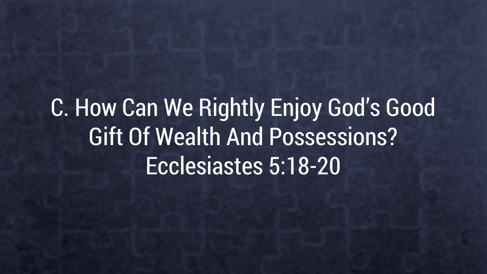C. How Can We Rightly Enjoy God's Good Gift Of Wealth And Possessions? Ecclesiastes 5:18-20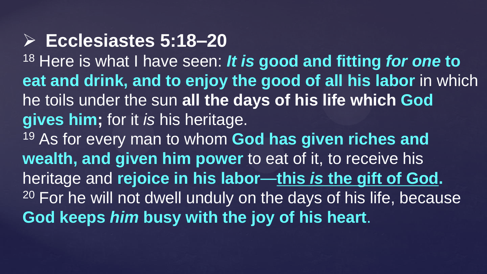#### **Ecclesiastes 5:18–20**

<sup>18</sup> Here is what I have seen: *It is* **good and fitting** *for one* **to eat and drink, and to enjoy the good of all his labor** in which he toils under the sun **all the days of his life which God gives him;** for it *is* his heritage.

<sup>19</sup> As for every man to whom **God has given riches and wealth, and given him power** to eat of it, to receive his heritage and **rejoice in his labor**—**this** *is* **the gift of God.** <sup>20</sup> For he will not dwell unduly on the days of his life, because **God keeps** *him* **busy with the joy of his heart**.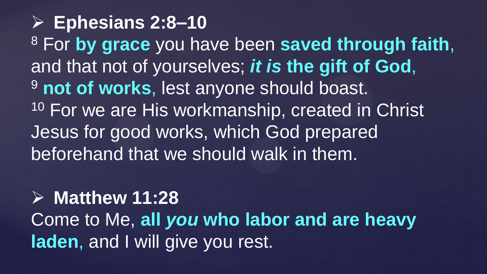**Ephesians 2:8–10**  <sup>8</sup> For **by grace** you have been **saved through faith**, and that not of yourselves; *it is* **the gift of God**, <sup>9</sup> not of works, lest anyone should boast. <sup>10</sup> For we are His workmanship, created in Christ Jesus for good works, which God prepared beforehand that we should walk in them.

# **Matthew 11:28**  Come to Me, **all** *you* **who labor and are heavy laden**, and I will give you rest.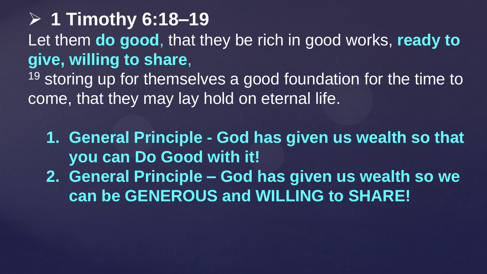# **1 Timothy 6:18–19**  Let them **do good**, that they be rich in good works, **ready to give, willing to share**,

<sup>19</sup> storing up for themselves a good foundation for the time to come, that they may lay hold on eternal life.

- **1. General Principle - God has given us wealth so that you can Do Good with it!**
- **2. General Principle – God has given us wealth so we can be GENEROUS and WILLING to SHARE!**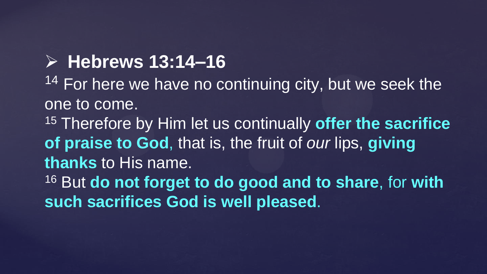#### **Hebrews 13:14–16**

<sup>14</sup> For here we have no continuing city, but we seek the one to come.

<sup>15</sup> Therefore by Him let us continually **offer the sacrifice of praise to God**, that is, the fruit of *our* lips, **giving thanks** to His name.

<sup>16</sup> But **do not forget to do good and to share**, for **with such sacrifices God is well pleased**.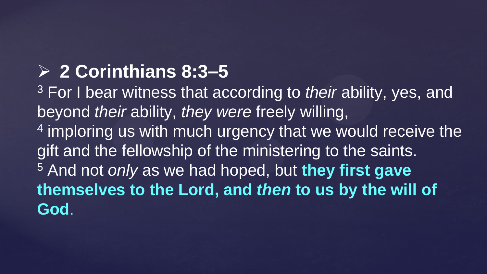# **2 Corinthians 8:3–5**

<sup>3</sup> For I bear witness that according to *their* ability, yes, and beyond *their* ability, *they were* freely willing, <sup>4</sup> imploring us with much urgency that we would receive the gift and the fellowship of the ministering to the saints. <sup>5</sup> And not *only* as we had hoped, but **they first gave themselves to the Lord, and** *then* **to us by the will of God**.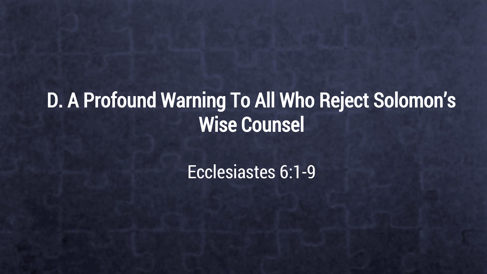# D. A Profound Warning To All Who Reject Solomon's Wise Counsel

#### Ecclesiastes 6:1-9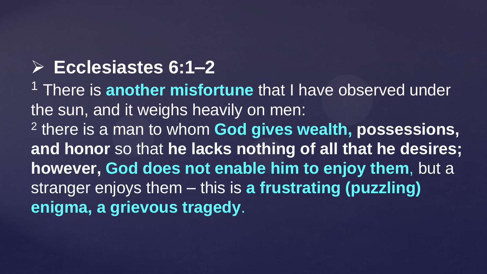# **Ecclesiastes 6:1–2**

<sup>1</sup> There is **another misfortune** that I have observed under the sun, and it weighs heavily on men: 2 there is a man to whom **God gives wealth, possessions, and honor** so that **he lacks nothing of all that he desires; however, God does not enable him to enjoy them**, but a stranger enjoys them – this is **a frustrating (puzzling) enigma, a grievous tragedy**.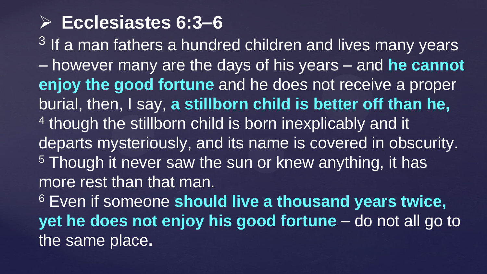# **Ecclesiastes 6:3–6**

 $3$  If a man fathers a hundred children and lives many years – however many are the days of his years – and **he cannot enjoy the good fortune** and he does not receive a proper burial, then, I say, **a stillborn child is better off than he,**  <sup>4</sup> though the stillborn child is born inexplicably and it departs mysteriously, and its name is covered in obscurity. <sup>5</sup> Though it never saw the sun or knew anything, it has more rest than that man. <sup>6</sup> Even if someone **should live a thousand years twice, yet he does not enjoy his good fortune** – do not all go to the same place**.**